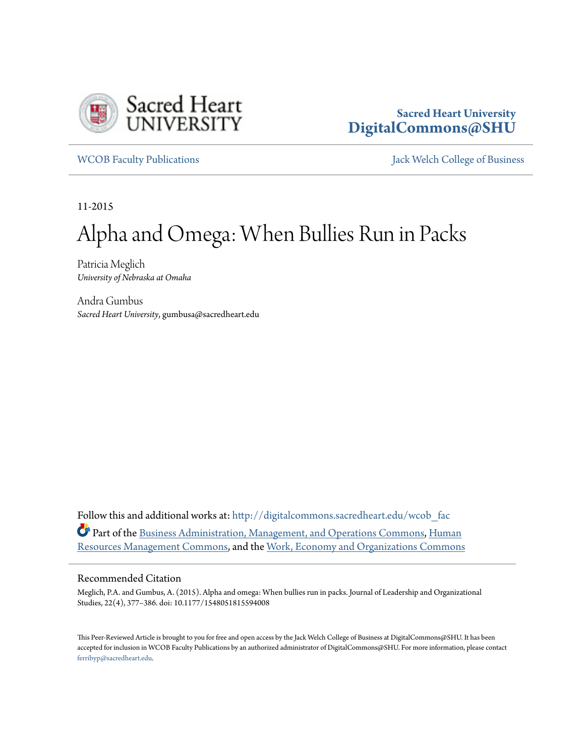

### **Sacred Heart University [DigitalCommons@SHU](http://digitalcommons.sacredheart.edu?utm_source=digitalcommons.sacredheart.edu%2Fwcob_fac%2F395&utm_medium=PDF&utm_campaign=PDFCoverPages)**

[WCOB Faculty Publications](http://digitalcommons.sacredheart.edu/wcob_fac?utm_source=digitalcommons.sacredheart.edu%2Fwcob_fac%2F395&utm_medium=PDF&utm_campaign=PDFCoverPages) [Jack Welch College of Business](http://digitalcommons.sacredheart.edu/wcob?utm_source=digitalcommons.sacredheart.edu%2Fwcob_fac%2F395&utm_medium=PDF&utm_campaign=PDFCoverPages)

11-2015

# Alpha and Omega: When Bullies Run in Packs

Patricia Meglich *University of Nebraska at Omaha*

Andra Gumbus *Sacred Heart University*, gumbusa@sacredheart.edu

Follow this and additional works at: [http://digitalcommons.sacredheart.edu/wcob\\_fac](http://digitalcommons.sacredheart.edu/wcob_fac?utm_source=digitalcommons.sacredheart.edu%2Fwcob_fac%2F395&utm_medium=PDF&utm_campaign=PDFCoverPages) Part of the [Business Administration, Management, and Operations Commons](http://network.bepress.com/hgg/discipline/623?utm_source=digitalcommons.sacredheart.edu%2Fwcob_fac%2F395&utm_medium=PDF&utm_campaign=PDFCoverPages), [Human](http://network.bepress.com/hgg/discipline/633?utm_source=digitalcommons.sacredheart.edu%2Fwcob_fac%2F395&utm_medium=PDF&utm_campaign=PDFCoverPages) [Resources Management Commons,](http://network.bepress.com/hgg/discipline/633?utm_source=digitalcommons.sacredheart.edu%2Fwcob_fac%2F395&utm_medium=PDF&utm_campaign=PDFCoverPages) and the [Work, Economy and Organizations Commons](http://network.bepress.com/hgg/discipline/433?utm_source=digitalcommons.sacredheart.edu%2Fwcob_fac%2F395&utm_medium=PDF&utm_campaign=PDFCoverPages)

#### Recommended Citation

Meglich, P.A. and Gumbus, A. (2015). Alpha and omega: When bullies run in packs. Journal of Leadership and Organizational Studies, 22(4), 377–386. doi: 10.1177/1548051815594008

This Peer-Reviewed Article is brought to you for free and open access by the Jack Welch College of Business at DigitalCommons@SHU. It has been accepted for inclusion in WCOB Faculty Publications by an authorized administrator of DigitalCommons@SHU. For more information, please contact [ferribyp@sacredheart.edu](mailto:ferribyp@sacredheart.edu).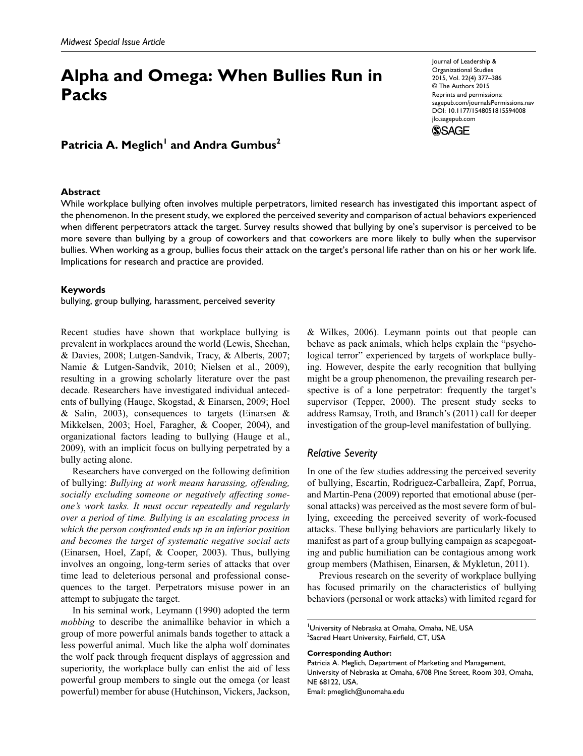## **Alpha and Omega: When Bullies Run in Packs**

Patricia A. Meglich<sup>I</sup> and Andra Gumbus<sup>2</sup>

#### **Abstract**

Journal of Leadership & Organizational Studies 2015, Vol. 22(4) 377–386 © The Authors 2015 Reprints and permissions: sagepub.com/journalsPermissions.nav DOI: 10.1177/1548051815594008 jlo.sagepub.com



While workplace bullying often involves multiple perpetrators, limited research has investigated this important aspect of the phenomenon. In the present study, we explored the perceived severity and comparison of actual behaviors experienced when different perpetrators attack the target. Survey results showed that bullying by one's supervisor is perceived to be more severe than bullying by a group of coworkers and that coworkers are more likely to bully when the supervisor bullies. When working as a group, bullies focus their attack on the target's personal life rather than on his or her work life. Implications for research and practice are provided.

#### **Keywords**

bullying, group bullying, harassment, perceived severity

Recent studies have shown that workplace bullying is prevalent in workplaces around the world (Lewis, Sheehan, & Davies, 2008; Lutgen-Sandvik, Tracy, & Alberts, 2007; Namie & Lutgen-Sandvik, 2010; Nielsen et al., 2009), resulting in a growing scholarly literature over the past decade. Researchers have investigated individual antecedents of bullying (Hauge, Skogstad, & Einarsen, 2009; Hoel & Salin, 2003), consequences to targets (Einarsen & Mikkelsen, 2003; Hoel, Faragher, & Cooper, 2004), and organizational factors leading to bullying (Hauge et al., 2009), with an implicit focus on bullying perpetrated by a bully acting alone.

Researchers have converged on the following definition of bullying: *Bullying at work means harassing, offending, socially excluding someone or negatively affecting someone's work tasks. It must occur repeatedly and regularly over a period of time. Bullying is an escalating process in which the person confronted ends up in an inferior position and becomes the target of systematic negative social acts* (Einarsen, Hoel, Zapf, & Cooper, 2003). Thus, bullying involves an ongoing, long-term series of attacks that over time lead to deleterious personal and professional consequences to the target. Perpetrators misuse power in an attempt to subjugate the target.

In his seminal work, Leymann (1990) adopted the term *mobbing* to describe the animallike behavior in which a group of more powerful animals bands together to attack a less powerful animal. Much like the alpha wolf dominates the wolf pack through frequent displays of aggression and superiority, the workplace bully can enlist the aid of less powerful group members to single out the omega (or least powerful) member for abuse (Hutchinson, Vickers, Jackson, & Wilkes, 2006). Leymann points out that people can behave as pack animals, which helps explain the "psychological terror" experienced by targets of workplace bullying. However, despite the early recognition that bullying might be a group phenomenon, the prevailing research perspective is of a lone perpetrator: frequently the target's supervisor (Tepper, 2000). The present study seeks to address Ramsay, Troth, and Branch's (2011) call for deeper investigation of the group-level manifestation of bullying.

#### *Relative Severity*

In one of the few studies addressing the perceived severity of bullying, Escartin, Rodriguez-Carballeira, Zapf, Porrua, and Martin-Pena (2009) reported that emotional abuse (personal attacks) was perceived as the most severe form of bullying, exceeding the perceived severity of work-focused attacks. These bullying behaviors are particularly likely to manifest as part of a group bullying campaign as scapegoating and public humiliation can be contagious among work group members (Mathisen, Einarsen, & Mykletun, 2011).

Previous research on the severity of workplace bullying has focused primarily on the characteristics of bullying behaviors (personal or work attacks) with limited regard for

**Corresponding Author:**

Patricia A. Meglich, Department of Marketing and Management, University of Nebraska at Omaha, 6708 Pine Street, Room 303, Omaha, NE 68122, USA. Email: [pmeglich@unomaha.edu](mailto:pmeglich@unomaha.edu)

<sup>1</sup> University of Nebraska at Omaha, Omaha, NE, USA  $^2$ Sacred Heart University, Fairfield, CT, USA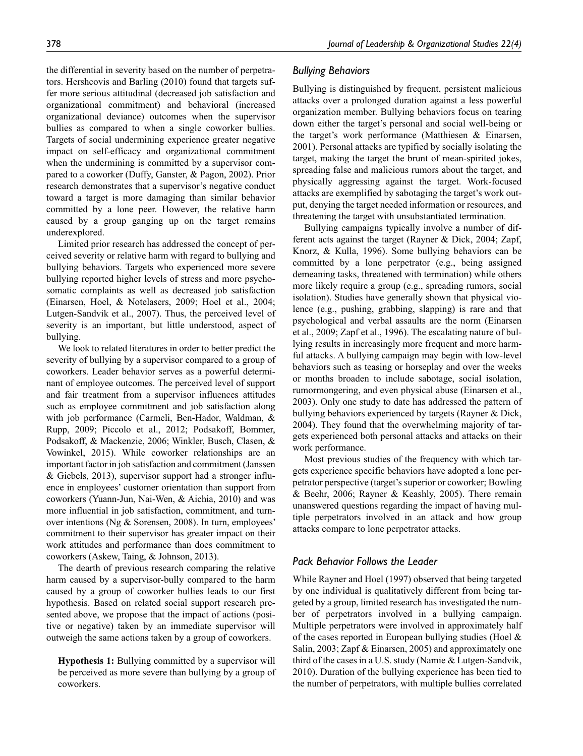the differential in severity based on the number of perpetrators. Hershcovis and Barling (2010) found that targets suffer more serious attitudinal (decreased job satisfaction and organizational commitment) and behavioral (increased organizational deviance) outcomes when the supervisor bullies as compared to when a single coworker bullies. Targets of social undermining experience greater negative impact on self-efficacy and organizational commitment when the undermining is committed by a supervisor compared to a coworker (Duffy, Ganster, & Pagon, 2002). Prior research demonstrates that a supervisor's negative conduct toward a target is more damaging than similar behavior committed by a lone peer. However, the relative harm caused by a group ganging up on the target remains underexplored.

Limited prior research has addressed the concept of perceived severity or relative harm with regard to bullying and bullying behaviors. Targets who experienced more severe bullying reported higher levels of stress and more psychosomatic complaints as well as decreased job satisfaction (Einarsen, Hoel, & Notelasers, 2009; Hoel et al., 2004; Lutgen-Sandvik et al., 2007). Thus, the perceived level of severity is an important, but little understood, aspect of bullying.

We look to related literatures in order to better predict the severity of bullying by a supervisor compared to a group of coworkers. Leader behavior serves as a powerful determinant of employee outcomes. The perceived level of support and fair treatment from a supervisor influences attitudes such as employee commitment and job satisfaction along with job performance (Carmeli, Ben-Hador, Waldman, & Rupp, 2009; Piccolo et al., 2012; Podsakoff, Bommer, Podsakoff, & Mackenzie, 2006; Winkler, Busch, Clasen, & Vowinkel, 2015). While coworker relationships are an important factor in job satisfaction and commitment (Janssen & Giebels, 2013), supervisor support had a stronger influence in employees' customer orientation than support from coworkers (Yuann-Jun, Nai-Wen, & Aichia, 2010) and was more influential in job satisfaction, commitment, and turnover intentions (Ng & Sorensen, 2008). In turn, employees' commitment to their supervisor has greater impact on their work attitudes and performance than does commitment to coworkers (Askew, Taing, & Johnson, 2013).

The dearth of previous research comparing the relative harm caused by a supervisor-bully compared to the harm caused by a group of coworker bullies leads to our first hypothesis. Based on related social support research presented above, we propose that the impact of actions (positive or negative) taken by an immediate supervisor will outweigh the same actions taken by a group of coworkers.

**Hypothesis 1:** Bullying committed by a supervisor will be perceived as more severe than bullying by a group of coworkers.

#### *Bullying Behaviors*

Bullying is distinguished by frequent, persistent malicious attacks over a prolonged duration against a less powerful organization member. Bullying behaviors focus on tearing down either the target's personal and social well-being or the target's work performance (Matthiesen & Einarsen, 2001). Personal attacks are typified by socially isolating the target, making the target the brunt of mean-spirited jokes, spreading false and malicious rumors about the target, and physically aggressing against the target. Work-focused attacks are exemplified by sabotaging the target's work output, denying the target needed information or resources, and threatening the target with unsubstantiated termination.

Bullying campaigns typically involve a number of different acts against the target (Rayner & Dick, 2004; Zapf, Knorz, & Kulla, 1996). Some bullying behaviors can be committed by a lone perpetrator (e.g., being assigned demeaning tasks, threatened with termination) while others more likely require a group (e.g., spreading rumors, social isolation). Studies have generally shown that physical violence (e.g., pushing, grabbing, slapping) is rare and that psychological and verbal assaults are the norm (Einarsen et al., 2009; Zapf et al., 1996). The escalating nature of bullying results in increasingly more frequent and more harmful attacks. A bullying campaign may begin with low-level behaviors such as teasing or horseplay and over the weeks or months broaden to include sabotage, social isolation, rumormongering, and even physical abuse (Einarsen et al., 2003). Only one study to date has addressed the pattern of bullying behaviors experienced by targets (Rayner & Dick, 2004). They found that the overwhelming majority of targets experienced both personal attacks and attacks on their work performance.

Most previous studies of the frequency with which targets experience specific behaviors have adopted a lone perpetrator perspective (target's superior or coworker; Bowling & Beehr, 2006; Rayner & Keashly, 2005). There remain unanswered questions regarding the impact of having multiple perpetrators involved in an attack and how group attacks compare to lone perpetrator attacks.

#### *Pack Behavior Follows the Leader*

While Rayner and Hoel (1997) observed that being targeted by one individual is qualitatively different from being targeted by a group, limited research has investigated the number of perpetrators involved in a bullying campaign. Multiple perpetrators were involved in approximately half of the cases reported in European bullying studies (Hoel & Salin, 2003; Zapf & Einarsen, 2005) and approximately one third of the cases in a U.S. study (Namie & Lutgen-Sandvik, 2010). Duration of the bullying experience has been tied to the number of perpetrators, with multiple bullies correlated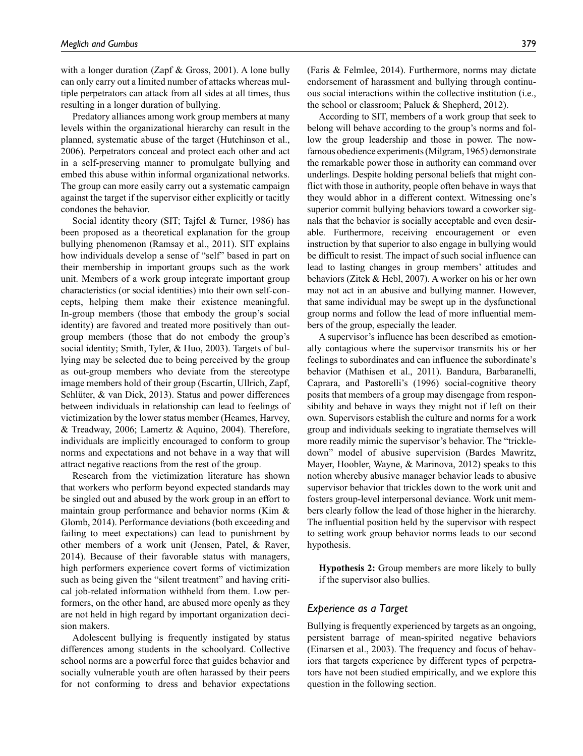with a longer duration (Zapf & Gross, 2001). A lone bully can only carry out a limited number of attacks whereas multiple perpetrators can attack from all sides at all times, thus resulting in a longer duration of bullying.

Predatory alliances among work group members at many levels within the organizational hierarchy can result in the planned, systematic abuse of the target (Hutchinson et al., 2006). Perpetrators conceal and protect each other and act in a self-preserving manner to promulgate bullying and embed this abuse within informal organizational networks. The group can more easily carry out a systematic campaign against the target if the supervisor either explicitly or tacitly condones the behavior.

Social identity theory (SIT; Tajfel & Turner, 1986) has been proposed as a theoretical explanation for the group bullying phenomenon (Ramsay et al., 2011). SIT explains how individuals develop a sense of "self" based in part on their membership in important groups such as the work unit. Members of a work group integrate important group characteristics (or social identities) into their own self-concepts, helping them make their existence meaningful. In-group members (those that embody the group's social identity) are favored and treated more positively than outgroup members (those that do not embody the group's social identity; Smith, Tyler, & Huo, 2003). Targets of bullying may be selected due to being perceived by the group as out-group members who deviate from the stereotype image members hold of their group (Escartín, Ullrich, Zapf, Schlüter, & van Dick, 2013). Status and power differences between individuals in relationship can lead to feelings of victimization by the lower status member (Heames, Harvey, & Treadway, 2006; Lamertz & Aquino, 2004). Therefore, individuals are implicitly encouraged to conform to group norms and expectations and not behave in a way that will attract negative reactions from the rest of the group.

Research from the victimization literature has shown that workers who perform beyond expected standards may be singled out and abused by the work group in an effort to maintain group performance and behavior norms (Kim & Glomb, 2014). Performance deviations (both exceeding and failing to meet expectations) can lead to punishment by other members of a work unit (Jensen, Patel, & Raver, 2014). Because of their favorable status with managers, high performers experience covert forms of victimization such as being given the "silent treatment" and having critical job-related information withheld from them. Low performers, on the other hand, are abused more openly as they are not held in high regard by important organization decision makers.

Adolescent bullying is frequently instigated by status differences among students in the schoolyard. Collective school norms are a powerful force that guides behavior and socially vulnerable youth are often harassed by their peers for not conforming to dress and behavior expectations (Faris & Felmlee, 2014). Furthermore, norms may dictate endorsement of harassment and bullying through continuous social interactions within the collective institution (i.e., the school or classroom; Paluck & Shepherd, 2012).

According to SIT, members of a work group that seek to belong will behave according to the group's norms and follow the group leadership and those in power. The nowfamous obedience experiments (Milgram, 1965) demonstrate the remarkable power those in authority can command over underlings. Despite holding personal beliefs that might conflict with those in authority, people often behave in ways that they would abhor in a different context. Witnessing one's superior commit bullying behaviors toward a coworker signals that the behavior is socially acceptable and even desirable. Furthermore, receiving encouragement or even instruction by that superior to also engage in bullying would be difficult to resist. The impact of such social influence can lead to lasting changes in group members' attitudes and behaviors (Zitek & Hebl, 2007). A worker on his or her own may not act in an abusive and bullying manner. However, that same individual may be swept up in the dysfunctional group norms and follow the lead of more influential members of the group, especially the leader.

A supervisor's influence has been described as emotionally contagious where the supervisor transmits his or her feelings to subordinates and can influence the subordinate's behavior (Mathisen et al., 2011). Bandura, Barbaranelli, Caprara, and Pastorelli's (1996) social-cognitive theory posits that members of a group may disengage from responsibility and behave in ways they might not if left on their own. Supervisors establish the culture and norms for a work group and individuals seeking to ingratiate themselves will more readily mimic the supervisor's behavior. The "trickledown" model of abusive supervision (Bardes Mawritz, Mayer, Hoobler, Wayne, & Marinova, 2012) speaks to this notion whereby abusive manager behavior leads to abusive supervisor behavior that trickles down to the work unit and fosters group-level interpersonal deviance. Work unit members clearly follow the lead of those higher in the hierarchy. The influential position held by the supervisor with respect to setting work group behavior norms leads to our second hypothesis.

**Hypothesis 2:** Group members are more likely to bully if the supervisor also bullies.

#### *Experience as a Target*

Bullying is frequently experienced by targets as an ongoing, persistent barrage of mean-spirited negative behaviors (Einarsen et al., 2003). The frequency and focus of behaviors that targets experience by different types of perpetrators have not been studied empirically, and we explore this question in the following section.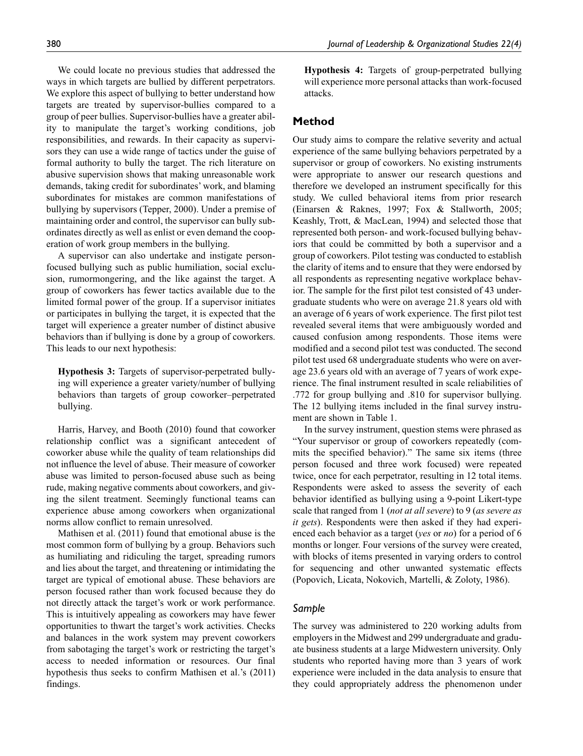We could locate no previous studies that addressed the ways in which targets are bullied by different perpetrators. We explore this aspect of bullying to better understand how targets are treated by supervisor-bullies compared to a group of peer bullies. Supervisor-bullies have a greater ability to manipulate the target's working conditions, job responsibilities, and rewards. In their capacity as supervisors they can use a wide range of tactics under the guise of formal authority to bully the target. The rich literature on abusive supervision shows that making unreasonable work demands, taking credit for subordinates' work, and blaming subordinates for mistakes are common manifestations of bullying by supervisors (Tepper, 2000). Under a premise of maintaining order and control, the supervisor can bully subordinates directly as well as enlist or even demand the cooperation of work group members in the bullying.

A supervisor can also undertake and instigate personfocused bullying such as public humiliation, social exclusion, rumormongering, and the like against the target. A group of coworkers has fewer tactics available due to the limited formal power of the group. If a supervisor initiates or participates in bullying the target, it is expected that the target will experience a greater number of distinct abusive behaviors than if bullying is done by a group of coworkers. This leads to our next hypothesis:

**Hypothesis 3:** Targets of supervisor-perpetrated bullying will experience a greater variety/number of bullying behaviors than targets of group coworker–perpetrated bullying.

Harris, Harvey, and Booth (2010) found that coworker relationship conflict was a significant antecedent of coworker abuse while the quality of team relationships did not influence the level of abuse. Their measure of coworker abuse was limited to person-focused abuse such as being rude, making negative comments about coworkers, and giving the silent treatment. Seemingly functional teams can experience abuse among coworkers when organizational norms allow conflict to remain unresolved.

Mathisen et al. (2011) found that emotional abuse is the most common form of bullying by a group. Behaviors such as humiliating and ridiculing the target, spreading rumors and lies about the target, and threatening or intimidating the target are typical of emotional abuse. These behaviors are person focused rather than work focused because they do not directly attack the target's work or work performance. This is intuitively appealing as coworkers may have fewer opportunities to thwart the target's work activities. Checks and balances in the work system may prevent coworkers from sabotaging the target's work or restricting the target's access to needed information or resources. Our final hypothesis thus seeks to confirm Mathisen et al.'s (2011) findings.

**Hypothesis 4:** Targets of group-perpetrated bullying will experience more personal attacks than work-focused attacks.

#### **Method**

Our study aims to compare the relative severity and actual experience of the same bullying behaviors perpetrated by a supervisor or group of coworkers. No existing instruments were appropriate to answer our research questions and therefore we developed an instrument specifically for this study. We culled behavioral items from prior research (Einarsen & Raknes, 1997; Fox & Stallworth, 2005; Keashly, Trott, & MacLean, 1994) and selected those that represented both person- and work-focused bullying behaviors that could be committed by both a supervisor and a group of coworkers. Pilot testing was conducted to establish the clarity of items and to ensure that they were endorsed by all respondents as representing negative workplace behavior. The sample for the first pilot test consisted of 43 undergraduate students who were on average 21.8 years old with an average of 6 years of work experience. The first pilot test revealed several items that were ambiguously worded and caused confusion among respondents. Those items were modified and a second pilot test was conducted. The second pilot test used 68 undergraduate students who were on average 23.6 years old with an average of 7 years of work experience. The final instrument resulted in scale reliabilities of .772 for group bullying and .810 for supervisor bullying. The 12 bullying items included in the final survey instrument are shown in Table 1.

In the survey instrument, question stems were phrased as "Your supervisor or group of coworkers repeatedly (commits the specified behavior)." The same six items (three person focused and three work focused) were repeated twice, once for each perpetrator, resulting in 12 total items. Respondents were asked to assess the severity of each behavior identified as bullying using a 9-point Likert-type scale that ranged from 1 (*not at all severe*) to 9 (*as severe as it gets*). Respondents were then asked if they had experienced each behavior as a target (*yes* or *no*) for a period of 6 months or longer. Four versions of the survey were created, with blocks of items presented in varying orders to control for sequencing and other unwanted systematic effects (Popovich, Licata, Nokovich, Martelli, & Zoloty, 1986).

#### *Sample*

The survey was administered to 220 working adults from employers in the Midwest and 299 undergraduate and graduate business students at a large Midwestern university. Only students who reported having more than 3 years of work experience were included in the data analysis to ensure that they could appropriately address the phenomenon under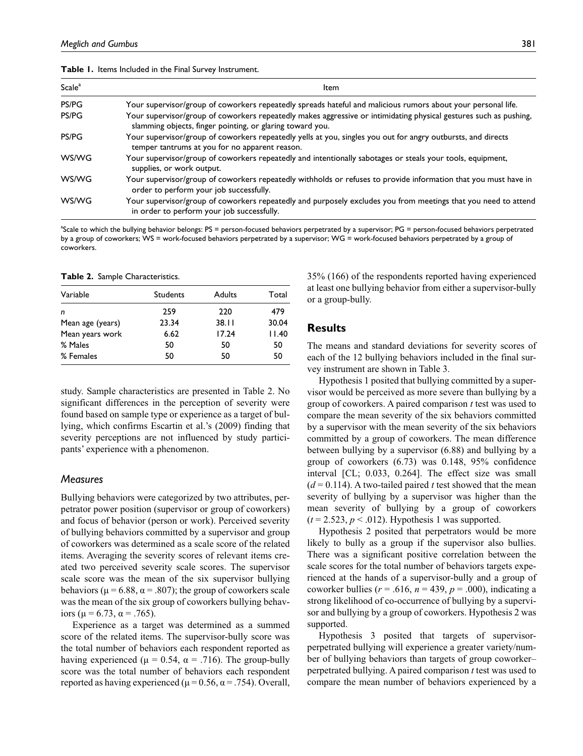#### **Table 1.** Items Included in the Final Survey Instrument.

| Scale <sup>a</sup> | Item                                                                                                                                                                           |  |  |
|--------------------|--------------------------------------------------------------------------------------------------------------------------------------------------------------------------------|--|--|
| <b>PS/PG</b>       | Your supervisor/group of coworkers repeatedly spreads hateful and malicious rumors about your personal life.                                                                   |  |  |
| <b>PS/PG</b>       | Your supervisor/group of coworkers repeatedly makes aggressive or intimidating physical gestures such as pushing,<br>slamming objects, finger pointing, or glaring toward you. |  |  |
| <b>PS/PG</b>       | Your supervisor/group of coworkers repeatedly yells at you, singles you out for angry outbursts, and directs<br>temper tantrums at you for no apparent reason.                 |  |  |
| WS/WG              | Your supervisor/group of coworkers repeatedly and intentionally sabotages or steals your tools, equipment,<br>supplies, or work output.                                        |  |  |
| WS/WG              | Your supervisor/group of coworkers repeatedly withholds or refuses to provide information that you must have in<br>order to perform your job successfully.                     |  |  |
| WS/WG              | Your supervisor/group of coworkers repeatedly and purposely excludes you from meetings that you need to attend<br>in order to perform your job successfully.                   |  |  |

a Scale to which the bullying behavior belongs: PS = person-focused behaviors perpetrated by a supervisor; PG = person-focused behaviors perpetrated by a group of coworkers; WS = work-focused behaviors perpetrated by a supervisor; WG = work-focused behaviors perpetrated by a group of coworkers.

**Table 2.** Sample Characteristics.

| Variable         | <b>Students</b> | <b>Adults</b> | Total |  |
|------------------|-----------------|---------------|-------|--|
|                  |                 |               |       |  |
| n                | 259             | 220           | 479   |  |
| Mean age (years) | 23.34           | 38.11         | 30.04 |  |
| Mean years work  | 6.62            | 17.24         | 11.40 |  |
| % Males          | 50              | 50            | 50    |  |
| % Females        | 50              | 50            | 50    |  |

study. Sample characteristics are presented in Table 2. No significant differences in the perception of severity were found based on sample type or experience as a target of bullying, which confirms Escartin et al.'s (2009) finding that severity perceptions are not influenced by study participants' experience with a phenomenon.

#### *Measures*

Bullying behaviors were categorized by two attributes, perpetrator power position (supervisor or group of coworkers) and focus of behavior (person or work). Perceived severity of bullying behaviors committed by a supervisor and group of coworkers was determined as a scale score of the related items. Averaging the severity scores of relevant items created two perceived severity scale scores. The supervisor scale score was the mean of the six supervisor bullying behaviors ( $\mu$  = 6.88,  $\alpha$  = .807); the group of coworkers scale was the mean of the six group of coworkers bullying behaviors (μ = 6.73, α = .765).

Experience as a target was determined as a summed score of the related items. The supervisor-bully score was the total number of behaviors each respondent reported as having experienced ( $\mu = 0.54$ ,  $\alpha = .716$ ). The group-bully score was the total number of behaviors each respondent reported as having experienced ( $\mu$  = 0.56,  $\alpha$  = .754). Overall,

35% (166) of the respondents reported having experienced at least one bullying behavior from either a supervisor-bully or a group-bully.

#### **Results**

The means and standard deviations for severity scores of each of the 12 bullying behaviors included in the final survey instrument are shown in Table 3.

Hypothesis 1 posited that bullying committed by a supervisor would be perceived as more severe than bullying by a group of coworkers. A paired comparison *t* test was used to compare the mean severity of the six behaviors committed by a supervisor with the mean severity of the six behaviors committed by a group of coworkers. The mean difference between bullying by a supervisor (6.88) and bullying by a group of coworkers (6.73) was 0.148, 95% confidence interval [CL; 0.033, 0.264]. The effect size was small  $(d=0.114)$ . A two-tailed paired *t* test showed that the mean severity of bullying by a supervisor was higher than the mean severity of bullying by a group of coworkers  $(t = 2.523, p < .012)$ . Hypothesis 1 was supported.

Hypothesis 2 posited that perpetrators would be more likely to bully as a group if the supervisor also bullies. There was a significant positive correlation between the scale scores for the total number of behaviors targets experienced at the hands of a supervisor-bully and a group of coworker bullies ( $r = .616$ ,  $n = 439$ ,  $p = .000$ ), indicating a strong likelihood of co-occurrence of bullying by a supervisor and bullying by a group of coworkers. Hypothesis 2 was supported.

Hypothesis 3 posited that targets of supervisorperpetrated bullying will experience a greater variety/number of bullying behaviors than targets of group coworker– perpetrated bullying. A paired comparison *t* test was used to compare the mean number of behaviors experienced by a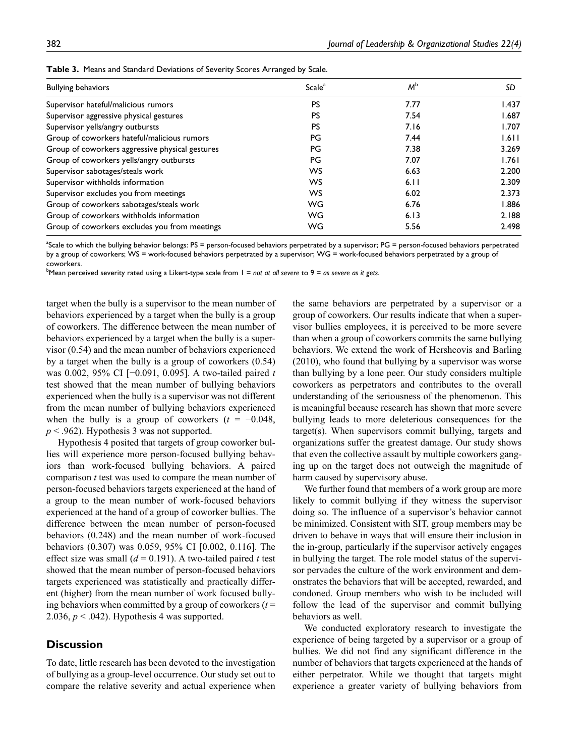| <b>Bullying behaviors</b>                       | Scale <sup>a</sup> | М <sup>b</sup> | SD    |
|-------------------------------------------------|--------------------|----------------|-------|
| Supervisor hateful/malicious rumors             | PS                 | 7.77           | 1.437 |
| Supervisor aggressive physical gestures         | PS                 | 7.54           | 1.687 |
| Supervisor yells/angry outbursts                | <b>PS</b>          | 7.16           | 1.707 |
| Group of coworkers hateful/malicious rumors     | PG                 | 7.44           | 1.611 |
| Group of coworkers aggressive physical gestures | PG                 | 7.38           | 3.269 |
| Group of coworkers yells/angry outbursts        | PG                 | 7.07           | 1.761 |
| Supervisor sabotages/steals work                | <b>WS</b>          | 6.63           | 2.200 |
| Supervisor withholds information                | <b>WS</b>          | 6.11           | 2.309 |
| Supervisor excludes you from meetings           | <b>WS</b>          | 6.02           | 2.373 |
| Group of coworkers sabotages/steals work        | WG                 | 6.76           | 1.886 |
| Group of coworkers withholds information        | WG                 | 6.13           | 2.188 |
| Group of coworkers excludes you from meetings   | WG                 | 5.56           | 2.498 |

**Table 3.** Means and Standard Deviations of Severity Scores Arranged by Scale.

a Scale to which the bullying behavior belongs: PS = person-focused behaviors perpetrated by a supervisor; PG = person-focused behaviors perpetrated by a group of coworkers; WS = work-focused behaviors perpetrated by a supervisor; WG = work-focused behaviors perpetrated by a group of coworkers.

b Mean perceived severity rated using a Likert-type scale from 1 = *not at all severe* to 9 = *as severe as it gets*.

target when the bully is a supervisor to the mean number of behaviors experienced by a target when the bully is a group of coworkers. The difference between the mean number of behaviors experienced by a target when the bully is a supervisor (0.54) and the mean number of behaviors experienced by a target when the bully is a group of coworkers (0.54) was 0.002, 95% CI [−0.091, 0.095]. A two-tailed paired *t* test showed that the mean number of bullying behaviors experienced when the bully is a supervisor was not different from the mean number of bullying behaviors experienced when the bully is a group of coworkers  $(t = -0.048,$ *p* < .962). Hypothesis 3 was not supported.

Hypothesis 4 posited that targets of group coworker bullies will experience more person-focused bullying behaviors than work-focused bullying behaviors. A paired comparison *t* test was used to compare the mean number of person-focused behaviors targets experienced at the hand of a group to the mean number of work-focused behaviors experienced at the hand of a group of coworker bullies. The difference between the mean number of person-focused behaviors (0.248) and the mean number of work-focused behaviors (0.307) was 0.059, 95% CI [0.002, 0.116]. The effect size was small  $(d = 0.191)$ . A two-tailed paired *t* test showed that the mean number of person-focused behaviors targets experienced was statistically and practically different (higher) from the mean number of work focused bullying behaviors when committed by a group of coworkers  $(t =$ 2.036,  $p < .042$ ). Hypothesis 4 was supported.

#### **Discussion**

To date, little research has been devoted to the investigation of bullying as a group-level occurrence. Our study set out to compare the relative severity and actual experience when

the same behaviors are perpetrated by a supervisor or a group of coworkers. Our results indicate that when a supervisor bullies employees, it is perceived to be more severe than when a group of coworkers commits the same bullying behaviors. We extend the work of Hershcovis and Barling (2010), who found that bullying by a supervisor was worse than bullying by a lone peer. Our study considers multiple coworkers as perpetrators and contributes to the overall understanding of the seriousness of the phenomenon. This is meaningful because research has shown that more severe bullying leads to more deleterious consequences for the target(s). When supervisors commit bullying, targets and organizations suffer the greatest damage. Our study shows that even the collective assault by multiple coworkers ganging up on the target does not outweigh the magnitude of harm caused by supervisory abuse.

We further found that members of a work group are more likely to commit bullying if they witness the supervisor doing so. The influence of a supervisor's behavior cannot be minimized. Consistent with SIT, group members may be driven to behave in ways that will ensure their inclusion in the in-group, particularly if the supervisor actively engages in bullying the target. The role model status of the supervisor pervades the culture of the work environment and demonstrates the behaviors that will be accepted, rewarded, and condoned. Group members who wish to be included will follow the lead of the supervisor and commit bullying behaviors as well.

We conducted exploratory research to investigate the experience of being targeted by a supervisor or a group of bullies. We did not find any significant difference in the number of behaviors that targets experienced at the hands of either perpetrator. While we thought that targets might experience a greater variety of bullying behaviors from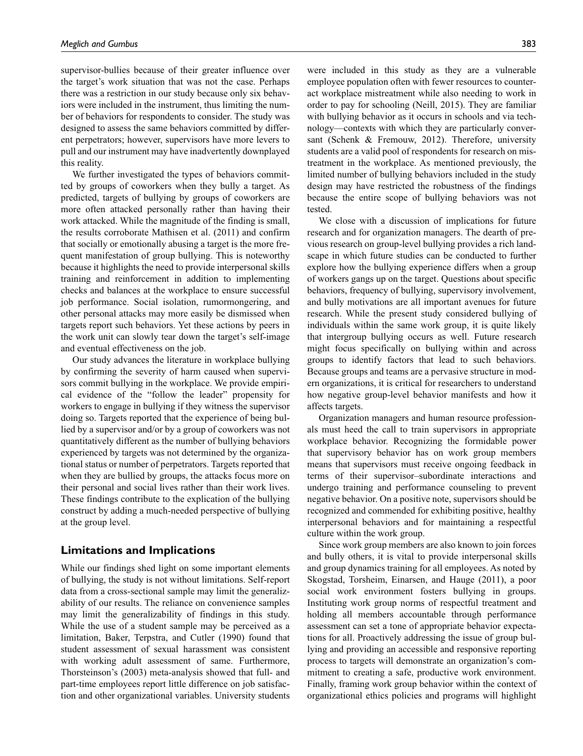supervisor-bullies because of their greater influence over the target's work situation that was not the case. Perhaps there was a restriction in our study because only six behaviors were included in the instrument, thus limiting the number of behaviors for respondents to consider. The study was designed to assess the same behaviors committed by different perpetrators; however, supervisors have more levers to pull and our instrument may have inadvertently downplayed this reality.

We further investigated the types of behaviors committed by groups of coworkers when they bully a target. As predicted, targets of bullying by groups of coworkers are more often attacked personally rather than having their work attacked. While the magnitude of the finding is small, the results corroborate Mathisen et al. (2011) and confirm that socially or emotionally abusing a target is the more frequent manifestation of group bullying. This is noteworthy because it highlights the need to provide interpersonal skills training and reinforcement in addition to implementing checks and balances at the workplace to ensure successful job performance. Social isolation, rumormongering, and other personal attacks may more easily be dismissed when targets report such behaviors. Yet these actions by peers in the work unit can slowly tear down the target's self-image and eventual effectiveness on the job.

Our study advances the literature in workplace bullying by confirming the severity of harm caused when supervisors commit bullying in the workplace. We provide empirical evidence of the "follow the leader" propensity for workers to engage in bullying if they witness the supervisor doing so. Targets reported that the experience of being bullied by a supervisor and/or by a group of coworkers was not quantitatively different as the number of bullying behaviors experienced by targets was not determined by the organizational status or number of perpetrators. Targets reported that when they are bullied by groups, the attacks focus more on their personal and social lives rather than their work lives. These findings contribute to the explication of the bullying construct by adding a much-needed perspective of bullying at the group level.

#### **Limitations and Implications**

While our findings shed light on some important elements of bullying, the study is not without limitations. Self-report data from a cross-sectional sample may limit the generalizability of our results. The reliance on convenience samples may limit the generalizability of findings in this study. While the use of a student sample may be perceived as a limitation, Baker, Terpstra, and Cutler (1990) found that student assessment of sexual harassment was consistent with working adult assessment of same. Furthermore, Thorsteinson's (2003) meta-analysis showed that full- and part-time employees report little difference on job satisfaction and other organizational variables. University students

were included in this study as they are a vulnerable employee population often with fewer resources to counteract workplace mistreatment while also needing to work in order to pay for schooling (Neill, 2015). They are familiar with bullying behavior as it occurs in schools and via technology—contexts with which they are particularly conversant (Schenk & Fremouw, 2012). Therefore, university students are a valid pool of respondents for research on mistreatment in the workplace. As mentioned previously, the limited number of bullying behaviors included in the study design may have restricted the robustness of the findings because the entire scope of bullying behaviors was not tested.

We close with a discussion of implications for future research and for organization managers. The dearth of previous research on group-level bullying provides a rich landscape in which future studies can be conducted to further explore how the bullying experience differs when a group of workers gangs up on the target. Questions about specific behaviors, frequency of bullying, supervisory involvement, and bully motivations are all important avenues for future research. While the present study considered bullying of individuals within the same work group, it is quite likely that intergroup bullying occurs as well. Future research might focus specifically on bullying within and across groups to identify factors that lead to such behaviors. Because groups and teams are a pervasive structure in modern organizations, it is critical for researchers to understand how negative group-level behavior manifests and how it affects targets.

Organization managers and human resource professionals must heed the call to train supervisors in appropriate workplace behavior. Recognizing the formidable power that supervisory behavior has on work group members means that supervisors must receive ongoing feedback in terms of their supervisor–subordinate interactions and undergo training and performance counseling to prevent negative behavior. On a positive note, supervisors should be recognized and commended for exhibiting positive, healthy interpersonal behaviors and for maintaining a respectful culture within the work group.

Since work group members are also known to join forces and bully others, it is vital to provide interpersonal skills and group dynamics training for all employees. As noted by Skogstad, Torsheim, Einarsen, and Hauge (2011), a poor social work environment fosters bullying in groups. Instituting work group norms of respectful treatment and holding all members accountable through performance assessment can set a tone of appropriate behavior expectations for all. Proactively addressing the issue of group bullying and providing an accessible and responsive reporting process to targets will demonstrate an organization's commitment to creating a safe, productive work environment. Finally, framing work group behavior within the context of organizational ethics policies and programs will highlight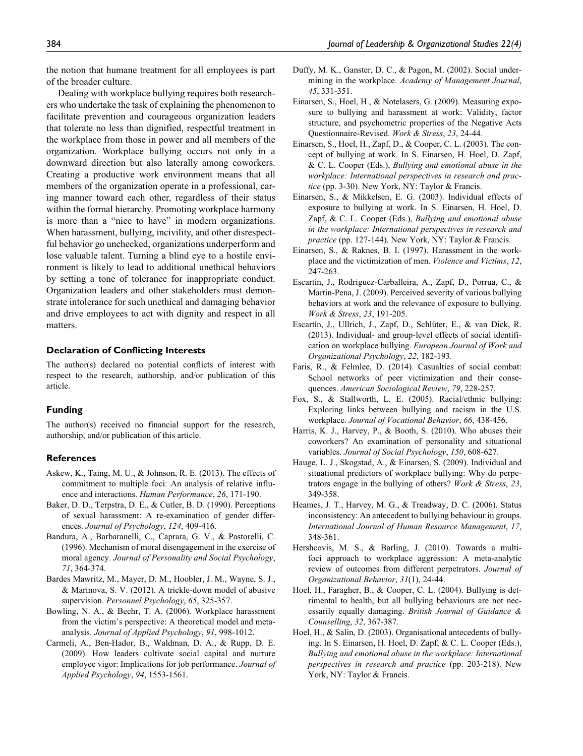the notion that humane treatment for all employees is part of the broader culture.

Dealing with workplace bullying requires both researchers who undertake the task of explaining the phenomenon to facilitate prevention and courageous organization leaders that tolerate no less than dignified, respectful treatment in the workplace from those in power and all members of the organization. Workplace bullying occurs not only in a downward direction but also laterally among coworkers. Creating a productive work environment means that all members of the organization operate in a professional, caring manner toward each other, regardless of their status within the formal hierarchy. Promoting workplace harmony is more than a "nice to have" in modern organizations. When harassment, bullying, incivility, and other disrespectful behavior go unchecked, organizations underperform and lose valuable talent. Turning a blind eye to a hostile environment is likely to lead to additional unethical behaviors by setting a tone of tolerance for inappropriate conduct. Organization leaders and other stakeholders must demonstrate intolerance for such unethical and damaging behavior and drive employees to act with dignity and respect in all matters.

#### **Declaration of Conflicting Interests**

The author(s) declared no potential conflicts of interest with respect to the research, authorship, and/or publication of this article.

#### **Funding**

The author(s) received no financial support for the research, authorship, and/or publication of this article.

#### **References**

- Askew, K., Taing, M. U., & Johnson, R. E. (2013). The effects of commitment to multiple foci: An analysis of relative influence and interactions. *Human Performance*, *26*, 171-190.
- Baker, D. D., Terpstra, D. E., & Cutler, B. D. (1990). Perceptions of sexual harassment: A re-examination of gender differences. *Journal of Psychology*, *124*, 409-416.
- Bandura, A., Barbaranelli, C., Caprara, G. V., & Pastorelli, C. (1996). Mechanism of moral disengagement in the exercise of moral agency. *Journal of Personality and Social Psychology*, *71*, 364-374.
- Bardes Mawritz, M., Mayer, D. M., Hoobler, J. M., Wayne, S. J., & Marinova, S. V. (2012). A trickle-down model of abusive supervision. *Personnel Psychology*, *65*, 325-357.
- Bowling, N. A., & Beehr, T. A. (2006). Workplace harassment from the victim's perspective: A theoretical model and metaanalysis. *Journal of Applied Psychology*, *91*, 998-1012.
- Carmeli, A., Ben-Hador, B., Waldman, D. A., & Rupp, D. E. (2009). How leaders cultivate social capital and nurture employee vigor: Implications for job performance. *Journal of Applied Psychology*, *94*, 1553-1561.
- Duffy, M. K., Ganster, D. C., & Pagon, M. (2002). Social undermining in the workplace. *Academy of Management Journal*, *45*, 331-351.
- Einarsen, S., Hoel, H., & Notelasers, G. (2009). Measuring exposure to bullying and harassment at work: Validity, factor structure, and psychometric properties of the Negative Acts Questionnaire-Revised. *Work & Stress*, *23*, 24-44.
- Einarsen, S., Hoel, H., Zapf, D., & Cooper, C. L. (2003). The concept of bullying at work. In S. Einarsen, H. Hoel, D. Zapf, & C. L. Cooper (Eds.), *Bullying and emotional abuse in the workplace: International perspectives in research and practice* (pp. 3-30). New York, NY: Taylor & Francis.
- Einarsen, S., & Mikkelsen, E. G. (2003). Individual effects of exposure to bullying at work. In S. Einarsen, H. Hoel, D. Zapf, & C. L. Cooper (Eds.), *Bullying and emotional abuse in the workplace: International perspectives in research and practice* (pp. 127-144). New York, NY: Taylor & Francis.
- Einarsen, S., & Raknes, B. I. (1997). Harassment in the workplace and the victimization of men. *Violence and Victims*, *12*, 247-263.
- Escartin, J., Rodriguez-Carballeira, A., Zapf, D., Porrua, C., & Martin-Pena, J. (2009). Perceived severity of various bullying behaviors at work and the relevance of exposure to bullying. *Work & Stress*, *23*, 191-205.
- Escartín, J., Ullrich, J., Zapf, D., Schlüter, E., & van Dick, R. (2013). Individual- and group-level effects of social identification on workplace bullying. *European Journal of Work and Organizational Psychology*, *22*, 182-193.
- Faris, R., & Felmlee, D. (2014). Casualties of social combat: School networks of peer victimization and their consequences. *American Sociological Review*, *79*, 228-257.
- Fox, S., & Stallworth, L. E. (2005). Racial/ethnic bullying: Exploring links between bullying and racism in the U.S. workplace. *Journal of Vocational Behavior*, *66*, 438-456.
- Harris, K. J., Harvey, P., & Booth, S. (2010). Who abuses their coworkers? An examination of personality and situational variables. *Journal of Social Psychology*, *150*, 608-627.
- Hauge, L. J., Skogstad, A., & Einarsen, S. (2009). Individual and situational predictors of workplace bullying: Why do perpetrators engage in the bullying of others? *Work & Stress*, *23*, 349-358.
- Heames, J. T., Harvey, M. G., & Treadway, D. C. (2006). Status inconsistency: An antecedent to bullying behaviour in groups. *International Journal of Human Resource Management*, *17*, 348-361.
- Hershcovis, M. S., & Barling, J. (2010). Towards a multifoci approach to workplace aggression: A meta-analytic review of outcomes from different perpetrators. *Journal of Organizational Behavior*, *31*(1), 24-44.
- Hoel, H., Faragher, B., & Cooper, C. L. (2004). Bullying is detrimental to health, but all bullying behaviours are not necessarily equally damaging. *British Journal of Guidance & Counselling*, *32*, 367-387.
- Hoel, H., & Salin, D. (2003). Organisational antecedents of bullying. In S. Einarsen, H. Hoel, D. Zapf, & C. L. Cooper (Eds.), *Bullying and emotional abuse in the workplace: International perspectives in research and practice* (pp. 203-218). New York, NY: Taylor & Francis.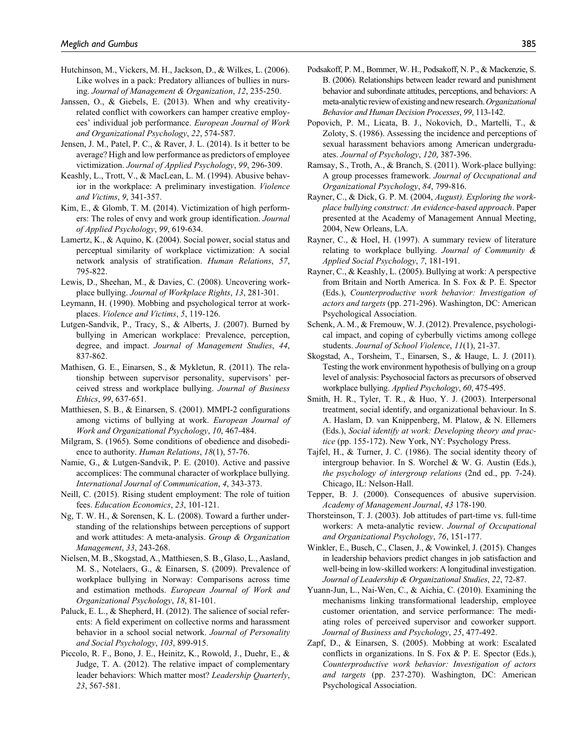- Hutchinson, M., Vickers, M. H., Jackson, D., & Wilkes, L. (2006). Like wolves in a pack: Predatory alliances of bullies in nursing. *Journal of Management & Organization*, *12*, 235-250.
- Janssen, O., & Giebels, E. (2013). When and why creativityrelated conflict with coworkers can hamper creative employees' individual job performance. *European Journal of Work and Organizational Psychology*, *22*, 574-587.
- Jensen, J. M., Patel, P. C., & Raver, J. L. (2014). Is it better to be average? High and low performance as predictors of employee victimization. *Journal of Applied Psychology*, *99*, 296-309.
- Keashly, L., Trott, V., & MacLean, L. M. (1994). Abusive behavior in the workplace: A preliminary investigation. *Violence and Victims*, *9*, 341-357.
- Kim, E., & Glomb, T. M. (2014). Victimization of high performers: The roles of envy and work group identification. *Journal of Applied Psychology*, *99*, 619-634.
- Lamertz, K., & Aquino, K. (2004). Social power, social status and perceptual similarity of workplace victimization: A social network analysis of stratification. *Human Relations*, *57*, 795-822.
- Lewis, D., Sheehan, M., & Davies, C. (2008). Uncovering workplace bullying. *Journal of Workplace Rights*, *13*, 281-301.
- Leymann, H. (1990). Mobbing and psychological terror at workplaces. *Violence and Victims*, *5*, 119-126.
- Lutgen-Sandvik, P., Tracy, S., & Alberts, J. (2007). Burned by bullying in American workplace: Prevalence, perception, degree, and impact. *Journal of Management Studies*, *44*, 837-862.
- Mathisen, G. E., Einarsen, S., & Mykletun, R. (2011). The relationship between supervisor personality, supervisors' perceived stress and workplace bullying. *Journal of Business Ethics*, *99*, 637-651.
- Matthiesen, S. B., & Einarsen, S. (2001). MMPI-2 configurations among victims of bullying at work. *European Journal of Work and Organizational Psychology*, *10*, 467-484.
- Milgram, S. (1965). Some conditions of obedience and disobedience to authority. *Human Relations*, *18*(1), 57-76.
- Namie, G., & Lutgen-Sandvik, P. E. (2010). Active and passive accomplices: The communal character of workplace bullying. *International Journal of Communication*, *4*, 343-373.
- Neill, C. (2015). Rising student employment: The role of tuition fees. *Education Economics*, *23*, 101-121.
- Ng, T. W. H., & Sorensen, K. L. (2008). Toward a further understanding of the relationships between perceptions of support and work attitudes: A meta-analysis. *Group & Organization Management*, *33*, 243-268.
- Nielsen, M. B., Skogstad, A., Matthiesen, S. B., Glaso, L., Aasland, M. S., Notelaers, G., & Einarsen, S. (2009). Prevalence of workplace bullying in Norway: Comparisons across time and estimation methods. *European Journal of Work and Organizational Psychology*, *18*, 81-101.
- Paluck, E. L., & Shepherd, H. (2012). The salience of social referents: A field experiment on collective norms and harassment behavior in a school social network. *Journal of Personality and Social Psychology*, *103*, 899-915.
- Piccolo, R. F., Bono, J. E., Heinitz, K., Rowold, J., Duehr, E., & Judge, T. A. (2012). The relative impact of complementary leader behaviors: Which matter most? *Leadership Quarterly*, *23*, 567-581.
- Podsakoff, P. M., Bommer, W. H., Podsakoff, N. P., & Mackenzie, S. B. (2006). Relationships between leader reward and punishment behavior and subordinate attitudes, perceptions, and behaviors: A meta-analytic review of existing and new research. *Organizational Behavior and Human Decision Processes*, *99*, 113-142.
- Popovich, P. M., Licata, B. J., Nokovich, D., Martelli, T., & Zoloty, S. (1986). Assessing the incidence and perceptions of sexual harassment behaviors among American undergraduates. *Journal of Psychology*, *120*, 387-396.
- Ramsay, S., Troth, A., & Branch, S. (2011). Work-place bullying: A group processes framework. *Journal of Occupational and Organizational Psychology*, *84*, 799-816.
- Rayner, C., & Dick, G. P. M. (2004, *August). Exploring the workplace bullying construct: An evidence-based approach*. Paper presented at the Academy of Management Annual Meeting, 2004, New Orleans, LA.
- Rayner, C., & Hoel, H. (1997). A summary review of literature relating to workplace bullying. *Journal of Community & Applied Social Psychology*, *7*, 181-191.
- Rayner, C., & Keashly, L. (2005). Bullying at work: A perspective from Britain and North America. In S. Fox & P. E. Spector (Eds.), *Counterproductive work behavior: Investigation of actors and targets* (pp. 271-296). Washington, DC: American Psychological Association.
- Schenk, A. M., & Fremouw, W. J. (2012). Prevalence, psychological impact, and coping of cyberbully victims among college students. *Journal of School Violence*, *11*(1), 21-37.
- Skogstad, A., Torsheim, T., Einarsen, S., & Hauge, L. J. (2011). Testing the work environment hypothesis of bullying on a group level of analysis: Psychosocial factors as precursors of observed workplace bullying. *Applied Psychology*, *60*, 475-495.
- Smith, H. R., Tyler, T. R., & Huo, Y. J. (2003). Interpersonal treatment, social identify, and organizational behaviour. In S. A. Haslam, D. van Knippenberg, M. Platow, & N. Ellemers (Eds.), *Social identify at work: Developing theory and practice* (pp. 155-172). New York, NY: Psychology Press.
- Tajfel, H., & Turner, J. C. (1986). The social identity theory of intergroup behavior. In S. Worchel & W. G. Austin (Eds.), *the psychology of intergroup relations* (2nd ed., pp. 7-24). Chicago, IL: Nelson-Hall.
- Tepper, B. J. (2000). Consequences of abusive supervision. *Academy of Management Journal*, *43* 178-190.
- Thorsteinson, T. J. (2003). Job attitudes of part-time vs. full-time workers: A meta-analytic review. *Journal of Occupational and Organizational Psychology*, *76*, 151-177.
- Winkler, E., Busch, C., Clasen, J., & Vowinkel, J. (2015). Changes in leadership behaviors predict changes in job satisfaction and well-being in low-skilled workers: A longitudinal investigation. *Journal of Leadership & Organizational Studies*, *22*, 72-87.
- Yuann-Jun, L., Nai-Wen, C., & Aichia, C. (2010). Examining the mechanisms linking transformational leadership, employee customer orientation, and service performance: The mediating roles of perceived supervisor and coworker support. *Journal of Business and Psychology*, *25*, 477-492.
- Zapf, D., & Einarsen, S. (2005). Mobbing at work: Escalated conflicts in organizations. In S. Fox & P. E. Spector (Eds.), *Counterproductive work behavior: Investigation of actors and targets* (pp. 237-270). Washington, DC: American Psychological Association.